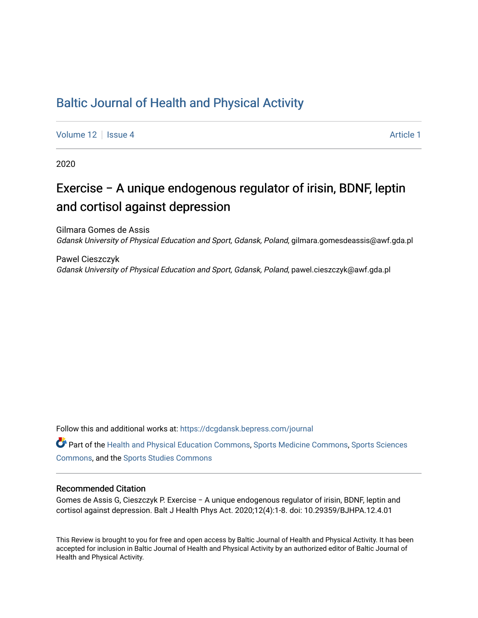## [Baltic Journal of Health and Physical Activity](https://dcgdansk.bepress.com/journal)

[Volume 12](https://dcgdansk.bepress.com/journal/vol12) | [Issue 4](https://dcgdansk.bepress.com/journal/vol12/iss4) Article 1

2020

# Exercise − A unique endogenous regulator of irisin, BDNF, leptin and cortisol against depression

Gilmara Gomes de Assis Gdansk University of Physical Education and Sport, Gdansk, Poland, gilmara.gomesdeassis@awf.gda.pl

Pawel Cieszczyk Gdansk University of Physical Education and Sport, Gdansk, Poland, pawel.cieszczyk@awf.gda.pl

Follow this and additional works at: [https://dcgdansk.bepress.com/journal](https://dcgdansk.bepress.com/journal?utm_source=dcgdansk.bepress.com%2Fjournal%2Fvol12%2Fiss4%2F1&utm_medium=PDF&utm_campaign=PDFCoverPages)

Part of the [Health and Physical Education Commons](http://network.bepress.com/hgg/discipline/1327?utm_source=dcgdansk.bepress.com%2Fjournal%2Fvol12%2Fiss4%2F1&utm_medium=PDF&utm_campaign=PDFCoverPages), [Sports Medicine Commons,](http://network.bepress.com/hgg/discipline/1331?utm_source=dcgdansk.bepress.com%2Fjournal%2Fvol12%2Fiss4%2F1&utm_medium=PDF&utm_campaign=PDFCoverPages) [Sports Sciences](http://network.bepress.com/hgg/discipline/759?utm_source=dcgdansk.bepress.com%2Fjournal%2Fvol12%2Fiss4%2F1&utm_medium=PDF&utm_campaign=PDFCoverPages) [Commons](http://network.bepress.com/hgg/discipline/759?utm_source=dcgdansk.bepress.com%2Fjournal%2Fvol12%2Fiss4%2F1&utm_medium=PDF&utm_campaign=PDFCoverPages), and the [Sports Studies Commons](http://network.bepress.com/hgg/discipline/1198?utm_source=dcgdansk.bepress.com%2Fjournal%2Fvol12%2Fiss4%2F1&utm_medium=PDF&utm_campaign=PDFCoverPages) 

#### Recommended Citation

Gomes de Assis G, Cieszczyk P. Exercise − A unique endogenous regulator of irisin, BDNF, leptin and cortisol against depression. Balt J Health Phys Act. 2020;12(4):1-8. doi: 10.29359/BJHPA.12.4.01

This Review is brought to you for free and open access by Baltic Journal of Health and Physical Activity. It has been accepted for inclusion in Baltic Journal of Health and Physical Activity by an authorized editor of Baltic Journal of Health and Physical Activity.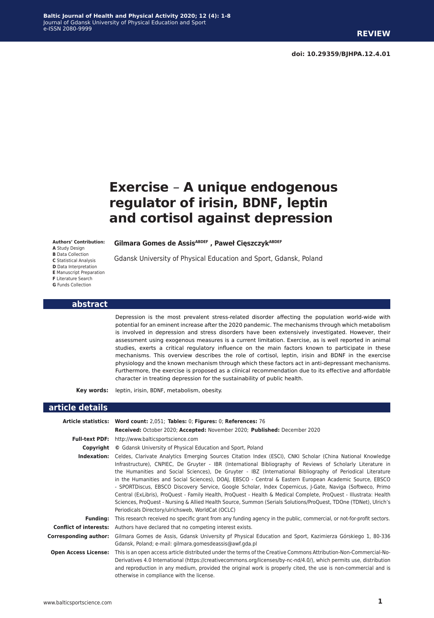## **Exercise** *−* **A unique endogenous regulator of irisin, BDNF, leptin and cortisol against depression**

**Authors' Contribution: A** Study Design **B** Data Collection **C** Statistical Analysis **D** Data Interpretation **E** Manuscript Preparation **F** Literature Search **G** Funds Collection

**Gilmara Gomes de AssisABDEF , Paweł CięszczykABDEF**

Gdansk University of Physical Education and Sport, Gdansk, Poland

#### **abstract**

Depression is the most prevalent stress-related disorder affecting the population world-wide with potential for an eminent increase after the 2020 pandemic. The mechanisms through which metabolism is involved in depression and stress disorders have been extensively investigated. However, their assessment using exogenous measures is a current limitation. Exercise, as is well reported in animal studies, exerts a critical regulatory influence on the main factors known to participate in these mechanisms. This overview describes the role of cortisol, leptin, irisin and BDNF in the exercise physiology and the known mechanism through which these factors act in anti-depressant mechanisms. Furthermore, the exercise is proposed as a clinical recommendation due to its effective and affordable character in treating depression for the sustainability of public health.

**Key words:** leptin, irisin, BDNF, metabolism, obesity.

#### **article details**

|                             | Article statistics: Word count: 2,051; Tables: 0; Figures: 0; References: 76                                                                                                                                                                                                                                                                                                                                                                                                                                                                                                                                                                                                                                                                                                                                                                                  |
|-----------------------------|---------------------------------------------------------------------------------------------------------------------------------------------------------------------------------------------------------------------------------------------------------------------------------------------------------------------------------------------------------------------------------------------------------------------------------------------------------------------------------------------------------------------------------------------------------------------------------------------------------------------------------------------------------------------------------------------------------------------------------------------------------------------------------------------------------------------------------------------------------------|
|                             | Received: October 2020; Accepted: November 2020; Published: December 2020                                                                                                                                                                                                                                                                                                                                                                                                                                                                                                                                                                                                                                                                                                                                                                                     |
| <b>Full-text PDF:</b>       | http://www.balticsportscience.com                                                                                                                                                                                                                                                                                                                                                                                                                                                                                                                                                                                                                                                                                                                                                                                                                             |
| Copyright                   | © Gdansk University of Physical Education and Sport, Poland                                                                                                                                                                                                                                                                                                                                                                                                                                                                                                                                                                                                                                                                                                                                                                                                   |
| Indexation:                 | Celdes, Clarivate Analytics Emerging Sources Citation Index (ESCI), CNKI Scholar (China National Knowledge<br>Infrastructure), CNPIEC, De Gruyter - IBR (International Bibliography of Reviews of Scholarly Literature in<br>the Humanities and Social Sciences), De Gruyter - IBZ (International Bibliography of Periodical Literature<br>in the Humanities and Social Sciences), DOAJ, EBSCO - Central & Eastern European Academic Source, EBSCO<br>- SPORTDiscus, EBSCO Discovery Service, Google Scholar, Index Copernicus, J-Gate, Naviga (Softweco, Primo<br>Central (ExLibris), ProQuest - Family Health, ProQuest - Health & Medical Complete, ProQuest - Illustrata: Health<br>Sciences, ProQuest - Nursing & Allied Health Source, Summon (Serials Solutions/ProQuest, TDOne (TDNet), Ulrich's<br>Periodicals Directory/ulrichsweb, WorldCat (OCLC) |
| <b>Funding:</b>             | This research received no specific grant from any funding agency in the public, commercial, or not-for-profit sectors.                                                                                                                                                                                                                                                                                                                                                                                                                                                                                                                                                                                                                                                                                                                                        |
|                             | <b>Conflict of interests:</b> Authors have declared that no competing interest exists.                                                                                                                                                                                                                                                                                                                                                                                                                                                                                                                                                                                                                                                                                                                                                                        |
| Corresponding author:       | Gilmara Gomes de Assis, Gdansk University pf Physical Education and Sport, Kazimierza Górskiego 1, 80-336<br>Gdansk, Poland; e-mail: gilmara.gomesdeassis@awf.gda.pl                                                                                                                                                                                                                                                                                                                                                                                                                                                                                                                                                                                                                                                                                          |
| <b>Open Access License:</b> | This is an open access article distributed under the terms of the Creative Commons Attribution-Non-Commercial-No-<br>Derivatives 4.0 International (https://creativecommons.org/licenses/by-nc-nd/4.0/), which permits use, distribution<br>and reproduction in any medium, provided the original work is properly cited, the use is non-commercial and is<br>otherwise in compliance with the license.                                                                                                                                                                                                                                                                                                                                                                                                                                                       |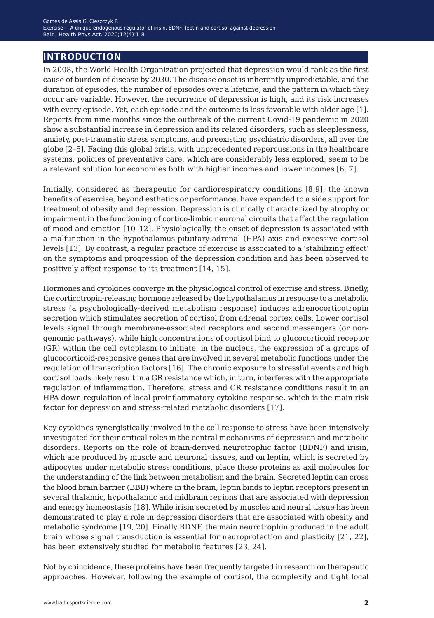## **introduction**

In 2008, the World Health Organization projected that depression would rank as the first cause of burden of disease by 2030. The disease onset is inherently unpredictable, and the duration of episodes, the number of episodes over a lifetime, and the pattern in which they occur are variable. However, the recurrence of depression is high, and its risk increases with every episode. Yet, each episode and the outcome is less favorable with older age [1]. Reports from nine months since the outbreak of the current Covid-19 pandemic in 2020 show a substantial increase in depression and its related disorders, such as sleeplessness, anxiety, post-traumatic stress symptoms, and preexisting psychiatric disorders, all over the globe [2–5]. Facing this global crisis, with unprecedented repercussions in the healthcare systems, policies of preventative care, which are considerably less explored, seem to be a relevant solution for economies both with higher incomes and lower incomes [6, 7].

Initially, considered as therapeutic for cardiorespiratory conditions [8,9], the known benefits of exercise, beyond esthetics or performance, have expanded to a side support for treatment of obesity and depression. Depression is clinically characterized by atrophy or impairment in the functioning of cortico-limbic neuronal circuits that affect the regulation of mood and emotion [10–12]. Physiologically, the onset of depression is associated with a malfunction in the hypothalamus-pituitary-adrenal (HPA) axis and excessive cortisol levels [13]. By contrast, a regular practice of exercise is associated to a 'stabilizing effect' on the symptoms and progression of the depression condition and has been observed to positively affect response to its treatment [14, 15].

Hormones and cytokines converge in the physiological control of exercise and stress. Briefly, the corticotropin-releasing hormone released by the hypothalamus in response to a metabolic stress (a psychologically-derived metabolism response) induces adrenocorticotropin secretion which stimulates secretion of cortisol from adrenal cortex cells. Lower cortisol levels signal through membrane-associated receptors and second messengers (or nongenomic pathways), while high concentrations of cortisol bind to glucocorticoid receptor (GR) within the cell cytoplasm to initiate, in the nucleus, the expression of a groups of glucocorticoid-responsive genes that are involved in several metabolic functions under the regulation of transcription factors [16]. The chronic exposure to stressful events and high cortisol loads likely result in a GR resistance which, in turn, interferes with the appropriate regulation of inflammation. Therefore, stress and GR resistance conditions result in an HPA down-regulation of local proinflammatory cytokine response, which is the main risk factor for depression and stress-related metabolic disorders [17].

Key cytokines synergistically involved in the cell response to stress have been intensively investigated for their critical roles in the central mechanisms of depression and metabolic disorders. Reports on the role of brain-derived neurotrophic factor (BDNF) and irisin, which are produced by muscle and neuronal tissues, and on leptin, which is secreted by adipocytes under metabolic stress conditions, place these proteins as axil molecules for the understanding of the link between metabolism and the brain. Secreted leptin can cross the blood brain barrier (BBB) where in the brain, leptin binds to leptin receptors present in several thalamic, hypothalamic and midbrain regions that are associated with depression and energy homeostasis [18]. While irisin secreted by muscles and neural tissue has been demonstrated to play a role in depression disorders that are associated with obesity and metabolic syndrome [19, 20]. Finally BDNF, the main neurotrophin produced in the adult brain whose signal transduction is essential for neuroprotection and plasticity [21, 22], has been extensively studied for metabolic features [23, 24].

Not by coincidence, these proteins have been frequently targeted in research on therapeutic approaches. However, following the example of cortisol, the complexity and tight local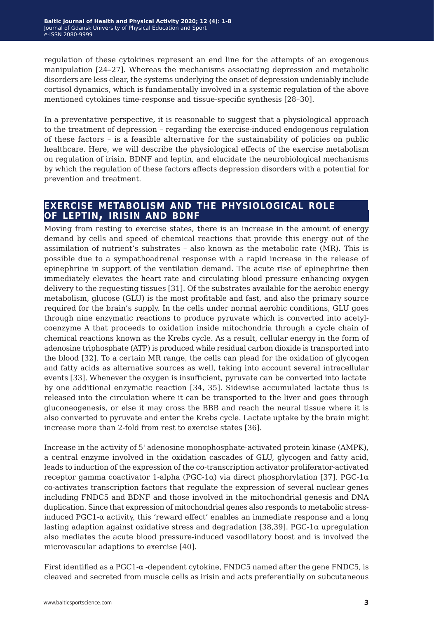regulation of these cytokines represent an end line for the attempts of an exogenous manipulation [24–27]. Whereas the mechanisms associating depression and metabolic disorders are less clear, the systems underlying the onset of depression undeniably include cortisol dynamics, which is fundamentally involved in a systemic regulation of the above mentioned cytokines time-response and tissue-specific synthesis [28–30].

In a preventative perspective, it is reasonable to suggest that a physiological approach to the treatment of depression – regarding the exercise-induced endogenous regulation of these factors – is a feasible alternative for the sustainability of policies on public healthcare. Here, we will describe the physiological effects of the exercise metabolism on regulation of irisin, BDNF and leptin, and elucidate the neurobiological mechanisms by which the regulation of these factors affects depression disorders with a potential for prevention and treatment.

## **exercise metabolism and the physiological role of leptin, irisin and bdnf**

Moving from resting to exercise states, there is an increase in the amount of energy demand by cells and speed of chemical reactions that provide this energy out of the assimilation of nutrient's substrates – also known as the metabolic rate (MR). This is possible due to a sympathoadrenal response with a rapid increase in the release of epinephrine in support of the ventilation demand. The acute rise of epinephrine then immediately elevates the heart rate and circulating blood pressure enhancing oxygen delivery to the requesting tissues [31]. Of the substrates available for the aerobic energy metabolism, glucose (GLU) is the most profitable and fast, and also the primary source required for the brain's supply. In the cells under normal aerobic conditions, GLU goes through nine enzymatic reactions to produce pyruvate which is converted into acetylcoenzyme A that proceeds to oxidation inside mitochondria through a cycle chain of chemical reactions known as the Krebs cycle. As a result, cellular energy in the form of adenosine triphosphate (ATP) is produced while residual carbon dioxide is transported into the blood [32]. To a certain MR range, the cells can plead for the oxidation of glycogen and fatty acids as alternative sources as well, taking into account several intracellular events [33]. Whenever the oxygen is insufficient, pyruvate can be converted into lactate by one additional enzymatic reaction [34, 35]. Sidewise accumulated lactate thus is released into the circulation where it can be transported to the liver and goes through gluconeogenesis, or else it may cross the BBB and reach the neural tissue where it is also converted to pyruvate and enter the Krebs cycle. Lactate uptake by the brain might increase more than 2-fold from rest to exercise states [36].

Increase in the activity of 5' adenosine monophosphate-activated protein kinase (AMPK), a central enzyme involved in the oxidation cascades of GLU, glycogen and fatty acid, leads to induction of the expression of the co-transcription activator proliferator-activated receptor gamma coactivator 1-alpha (PGC-1α) via direct phosphorylation [37]. PGC-1α co-activates transcription factors that regulate the expression of several nuclear genes including FNDC5 and BDNF and those involved in the mitochondrial genesis and DNA duplication. Since that expression of mitochondrial genes also responds to metabolic stressinduced PGC1- $\alpha$  activity, this 'reward effect' enables an immediate response and a long lasting adaption against oxidative stress and degradation [38,39]. PGC-1 $\alpha$  upregulation also mediates the acute blood pressure-induced vasodilatory boost and is involved the microvascular adaptions to exercise [40].

First identified as a PGC1- $\alpha$ -dependent cytokine, FNDC5 named after the gene FNDC5, is cleaved and secreted from muscle cells as irisin and acts preferentially on subcutaneous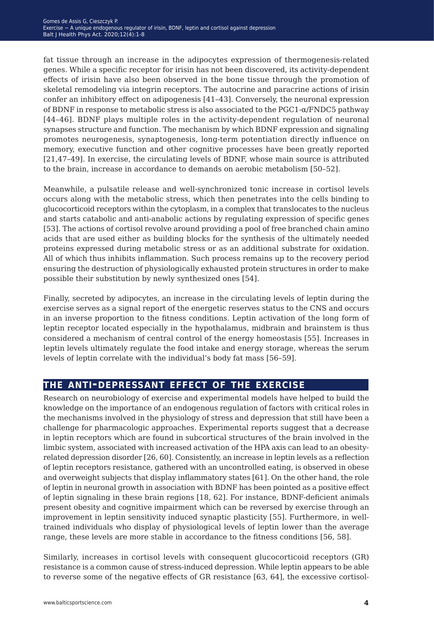fat tissue through an increase in the adipocytes expression of thermogenesis-related genes. While a specific receptor for irisin has not been discovered, its activity-dependent effects of irisin have also been observed in the bone tissue through the promotion of skeletal remodeling via integrin receptors. The autocrine and paracrine actions of irisin confer an inhibitory effect on adipogenesis [41–43]. Conversely, the neuronal expression of BDNF in response to metabolic stress is also associated to the PGC1-α/FNDC5 pathway [44–46]. BDNF plays multiple roles in the activity-dependent regulation of neuronal synapses structure and function. The mechanism by which BDNF expression and signaling promotes neurogenesis, synaptogenesis, long-term potentiation directly influence on memory, executive function and other cognitive processes have been greatly reported [21,47–49]. In exercise, the circulating levels of BDNF, whose main source is attributed to the brain, increase in accordance to demands on aerobic metabolism [50–52].

Meanwhile, a pulsatile release and well-synchronized tonic increase in cortisol levels occurs along with the metabolic stress, which then penetrates into the cells binding to glucocorticoid receptors within the cytoplasm, in a complex that translocates to the nucleus and starts catabolic and anti-anabolic actions by regulating expression of specific genes [53]. The actions of cortisol revolve around providing a pool of free branched chain amino acids that are used either as building blocks for the synthesis of the ultimately needed proteins expressed during metabolic stress or as an additional substrate for oxidation. All of which thus inhibits inflammation. Such process remains up to the recovery period ensuring the destruction of physiologically exhausted protein structures in order to make possible their substitution by newly synthesized ones [54].

Finally, secreted by adipocytes, an increase in the circulating levels of leptin during the exercise serves as a signal report of the energetic reserves status to the CNS and occurs in an inverse proportion to the fitness conditions. Leptin activation of the long form of leptin receptor located especially in the hypothalamus, midbrain and brainstem is thus considered a mechanism of central control of the energy homeostasis [55]. Increases in leptin levels ultimately regulate the food intake and energy storage, whereas the serum levels of leptin correlate with the individual's body fat mass [56–59].

## **the anti-depressant effect of the exercise**

Research on neurobiology of exercise and experimental models have helped to build the knowledge on the importance of an endogenous regulation of factors with critical roles in the mechanisms involved in the physiology of stress and depression that still have been a challenge for pharmacologic approaches. Experimental reports suggest that a decrease in leptin receptors which are found in subcortical structures of the brain involved in the limbic system, associated with increased activation of the HPA axis can lead to an obesityrelated depression disorder [26, 60]. Consistently, an increase in leptin levels as a reflection of leptin receptors resistance, gathered with an uncontrolled eating, is observed in obese and overweight subjects that display inflammatory states [61]. On the other hand, the role of leptin in neuronal growth in association with BDNF has been pointed as a positive effect of leptin signaling in these brain regions [18, 62]. For instance, BDNF-deficient animals present obesity and cognitive impairment which can be reversed by exercise through an improvement in leptin sensitivity induced synaptic plasticity [55]. Furthermore, in welltrained individuals who display of physiological levels of leptin lower than the average range, these levels are more stable in accordance to the fitness conditions [56, 58].

Similarly, increases in cortisol levels with consequent glucocorticoid receptors (GR) resistance is a common cause of stress-induced depression. While leptin appears to be able to reverse some of the negative effects of GR resistance [63, 64], the excessive cortisol-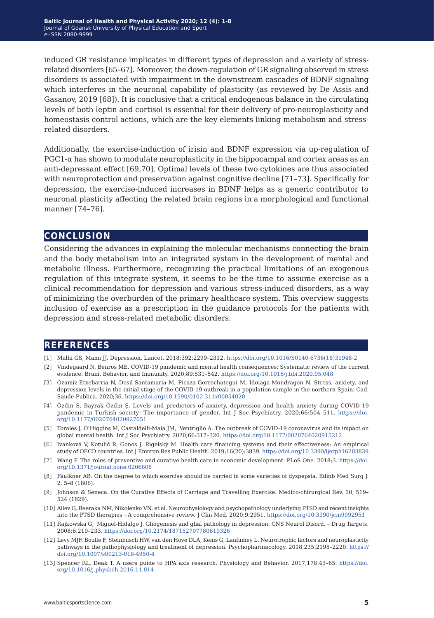induced GR resistance implicates in different types of depression and a variety of stressrelated disorders [65–67]. Moreover, the down-regulation of GR signaling observed in stress disorders is associated with impairment in the downstream cascades of BDNF signaling which interferes in the neuronal capability of plasticity (as reviewed by De Assis and Gasanov, 2019 [68]). It is conclusive that a critical endogenous balance in the circulating levels of both leptin and cortisol is essential for their delivery of pro-neuroplasticity and homeostasis control actions, which are the key elements linking metabolism and stressrelated disorders.

Additionally, the exercise-induction of irisin and BDNF expression via up-regulation of  $PGC1-\alpha$  has shown to modulate neuroplasticity in the hippocampal and cortex areas as an anti-depressant effect [69,70]. Optimal levels of these two cytokines are thus associated with neuroprotection and preservation against cognitive decline [71–73]. Specifically for depression, the exercise-induced increases in BDNF helps as a generic contributor to neuronal plasticity affecting the related brain regions in a morphological and functional manner [74–76].

### **conclusion**

Considering the advances in explaining the molecular mechanisms connecting the brain and the body metabolism into an integrated system in the development of mental and metabolic illness. Furthermore, recognizing the practical limitations of an exogenous regulation of this integrate system, it seems to be the time to assume exercise as a clinical recommendation for depression and various stress-induced disorders, as a way of minimizing the overburden of the primary healthcare system. This overview suggests inclusion of exercise as a prescription in the guidance protocols for the patients with depression and stress-related metabolic disorders.

### **references**

- [1] Malhi GS, Mann JJ. Depression. Lancet. 2018;392:2299–2312. [https://doi.org/10.1016/S0140-6736\(18\)31948-2](https://doi.org/10.1016/S0140-6736(18)31948-2)
- [2] Vindegaard N, Benros ME. COVID-19 pandemic and mental health consequences: Systematic review of the current evidence. Brain, Behavior, and Immunity. 2020;89:531–542. <https://doi.org/10.1016/j.bbi.2020.05.048>
- [3] Ozamiz-Etxebarria N, Dosil-Santamaria M, Picaza-Gorrochategui M, Idoiaga-Mondragon N. Stress, anxiety, and depression levels in the initial stage of the COVID-19 outbreak in a population sample in the northern Spain. Cad. Saude Publica. 2020;36. <https://doi.org/10.1590/0102-311x00054020>
- [4] Özdin S, Bayrak Özdin Ş. Levels and predictors of anxiety, depression and health anxiety during COVID-19 pandemic in Turkish society: The importance of gender. Int J Soc Psychiatry. 2020;66:504–511. [https://doi.](https://doi.org/10.1177/0020764020927051 ) [org/10.1177/0020764020927051](https://doi.org/10.1177/0020764020927051 )
- [5] Torales J, O'Higgins M, Castaldelli-Maia JM, Ventriglio A. The outbreak of COVID-19 coronavirus and its impact on global mental health. Int J Soc Psychiatry. 2020;66:317–320. <https://doi.org/10.1177/0020764020915212>
- [6] Ivanková V, Kotulič R, Gonos J, Rigelský M. Health care financing systems and their effectiveness: An empirical study of OECD countries. Int J Environ Res Public Health. 2019;16(20):3839. <https://doi.org/10.3390/ijerph16203839>
- [7] Wang F. The roles of preventive and curative health care in economic development. PLoS One. 2018;3. [https://doi.](https://doi.org/10.1371/journal.pone.0206808) [org/10.1371/journal.pone.0206808](https://doi.org/10.1371/journal.pone.0206808)
- [8] Faulkner AB. On the degree to which exercise should be carried in some varieties of dyspepsia. Edinb Med Surg J. 2, 5–8 (1806).
- [9] Johnson & Seneca. On the Curative Effects of Carriage and Travelling Exercise. Medico-chirurgical Rev. 10, 519– 524 (1829).
- [10] Aliev G, Beeraka NM, Nikolenko VN, et al. Neurophysiology and psychopathology underlying PTSD and recent insights into the PTSD therapies *−* A comprehensive review. J Clin Med. 2020;9:2951. <https://doi.org/10.3390/jcm9092951>
- [11] Rajkowska G, Miguel-Hidalgo J. Gliogenesis and glial pathology in depression. CNS Neurol Disord. *−* Drug Targets. 2008;6:219–233. <https://doi.org/10.2174/187152707780619326>
- [12] Levy MJF, Boulle F, Steinbusch HW, van den Hove DLA, Kenis G, Lanfumey L. Neurotrophic factors and neuroplasticity pathways in the pathophysiology and treatment of depression. Psychopharmacology. 2018;235:2195–2220. [https://](https://doi.org/10.1007/s00213-018-4950-4) [doi.org/10.1007/s00213-018-4950-4](https://doi.org/10.1007/s00213-018-4950-4)
- [13] Spencer RL, Deak T. A users guide to HPA axis research. Physiology and Behavior. 2017;178:43–65. [https://doi.](https://doi.org/10.1016/j.physbeh.2016.11.014 ) [org/10.1016/j.physbeh.2016.11.014](https://doi.org/10.1016/j.physbeh.2016.11.014 )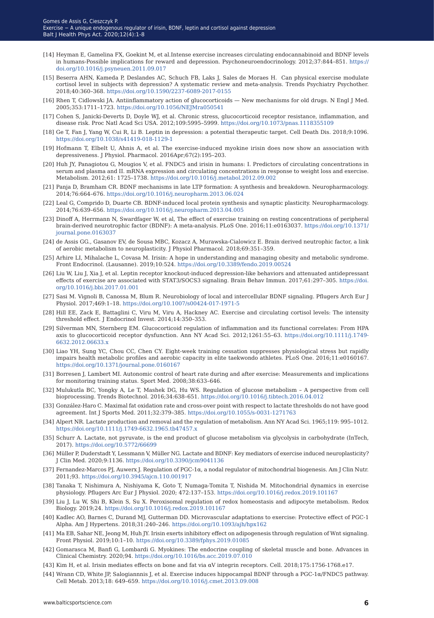- [14] Heyman E, Gamelina FX, Goekint M, et al.Intense exercise increases circulating endocannabinoid and BDNF levels in humans-Possible implications for reward and depression. Psychoneuroendocrinology. 2012;37:844–851. [https://](https://doi.org/10.1016/j.psyneuen.2011.09.017 ) [doi.org/10.1016/j.psyneuen.2011.09.017](https://doi.org/10.1016/j.psyneuen.2011.09.017 )
- [15] Beserra AHN, Kameda P, Deslandes AC, Schuch FB, Laks J, Sales de Moraes H. Can physical exercise modulate cortisol level in subjects with depression? A systematic review and meta-analysis. Trends Psychiatry Psychother. 2018;40:360–368. [https://doi.org/10.1590/2237-6089-2017-0155](https://doi.org/10.1590/2237-6089-2017-0155 )
- [16] Rhen T, Cidlowski JA. Antiinflammatory action of glucocorticoids New mechanisms for old drugs. N Engl J Med. 2005;353:1711–1723. <https://doi.org/10.1056/NEJMra050541>
- [17] Cohen S, Janicki-Deverts D, Doyle WJ, et al. Chronic stress, glucocorticoid receptor resistance, inflammation, and disease risk. Proc Natl Acad Sci USA. 2012;109:5995–5999. <https://doi.org/10.1073/pnas.1118355109>
- [18] Ge T, Fan J, Yang W, Cui R, Li B. Leptin in depression: a potential therapeutic target. Cell Death Dis. 2018;9:1096. <https://doi.org/10.1038/s41419-018-1129-1>
- [19] Hofmann T, Elbelt U, Ahnis A, et al. The exercise-induced myokine irisin does now show an association with depressiveness. J Physiol. Pharmacol. 2016Apr;67(2):195–203.
- [20] Huh JY, Panagiotou G, Mougios V, et al. FNDC5 and irisin in humans: I. Predictors of circulating concentrations in serum and plasma and II. mRNA expression and circulating concentrations in response to weight loss and exercise. Metabolism. 2012;61: 1725–1738. <https://doi.org/10.1016/j.metabol.2012.09.002>
- [21] Panja D, Bramham CR. BDNF mechanisms in late LTP formation: A synthesis and breakdown. Neuropharmacology. 2014;76:664–676. [https://doi.org/10.1016/j.neuropharm.2013.06.024](https://doi.org/10.1016/j.neuropharm.2013.06.024 )
- [22] Leal G, Comprido D, Duarte CB. BDNF-induced local protein synthesis and synaptic plasticity. Neuropharmacology. 2014;76:639–656.<https://doi.org/10.1016/j.neuropharm.2013.04.005>
- [23] Dinoff A, Herrmann N, Swardfager W, et al, The effect of exercise training on resting concentrations of peripheral brain-derived neurotrophic factor (BDNF): A meta-analysis. PLoS One. 2016;11:e0163037. [https://doi.org/10.1371/](https://doi.org/10.1371/journal.pone.0163037 ) [journal.pone.0163037](https://doi.org/10.1371/journal.pone.0163037 )
- [24] de Assis GG., Gasanov EV, de Sousa MBC, Kozacz A, Murawska-Cialowicz E. Brain derived neutrophic factor, a link of aerobic metabolism to neuroplasticity. J Physiol Pharmacol. 2018;69:351–359.
- [25] Arhire LI, Mihalache L, Covasa M. Irisin: A hope in understanding and managing obesity and metabolic syndrome. Front Endocrinol. (Lausanne). 2019;10:524. <https://doi.org/10.3389/fendo.2019.00524>
- [26] Liu W, Liu J, Xia J, et al. Leptin receptor knockout-induced depression-like behaviors and attenuated antidepressant effects of exercise are associated with STAT3/SOCS3 signaling. Brain Behav Immun. 2017;61:297–305. [https://doi.](https://doi.org/10.1016/j.bbi.2017.01.001 ) [org/10.1016/j.bbi.2017.01.001](https://doi.org/10.1016/j.bbi.2017.01.001 )
- [27] Sasi M. Vignoli B, Canossa M, Blum R. Neurobiology of local and intercellular BDNF signaling. Pflugers Arch Eur J Physiol. 2017;469:1–18.<https://doi.org/10.1007/s00424-017-1971-5>
- [28] Hill EE, Zack E, Battaglini C, Viru M, Viru A, Hackney AC. Exercise and circulating cortisol levels: The intensity threshold effect. J Endocrinol Invest. 2014;14:350–353.
- [29] Silverman MN, Sternberg EM. Glucocorticoid regulation of inflammation and its functional correlates: From HPA axis to glucocorticoid receptor dysfunction. Ann NY Acad Sci. 2012;1261:55–63. [https://doi.org/10.1111/j.1749-](https://doi.org/10.1111/j.1749-6632.2012.06633.x ) [6632.2012.06633.x](https://doi.org/10.1111/j.1749-6632.2012.06633.x )
- [30] Liao YH, Sung YC, Chou CC, Chen CY. Eight-week training cessation suppresses physiological stress but rapidly impairs health metabolic profiles and aerobic capacity in elite taekwondo athletes. PLoS One. 2016;11:e0160167. <https://doi.org/10.1371/journal.pone.0160167>
- [31] Borresen J, Lambert MI. Autonomic control of heart rate during and after exercise: Measurements and implications for monitoring training status. Sport Med. 2008;38:633–646.
- [32] Mulukutla BC, Yongky A, Le T, Mashek DG, Hu WS. Regulation of glucose metabolism A perspective from cell bioprocessing. Trends Biotechnol. 2016;34:638–651. <https://doi.org/10.1016/j.tibtech.2016.04.012>
- [33] González-Haro C. Maximal fat oxidation rate and cross-over point with respect to lactate thresholds do not have good agreement. Int J Sports Med. 2011;32:379–385. <https://doi.org/10.1055/s-0031-1271763>
- [34] Alpert NR. Lactate production and removal and the regulation of metabolism. Ann NY Acad Sci. 1965;119: 995–1012. <https://doi.org/10.1111/j.1749-6632.1965.tb47457.x>
- [35] Schurr A. Lactate, not pyruvate, is the end product of glucose metabolism via glycolysis in carbohydrate (InTech, 2017). <https://doi.org/10.5772/66699>
- [36] Müller P, Duderstadt Y, Lessmann V, Müller NG. Lactate and BDNF: Key mediators of exercise induced neuroplasticity? J Clin Med. 2020;9:1136. <https://doi.org/10.3390/jcm9041136>
- [37] Fernandez-Marcos PJ, Auwerx J. Regulation of PGC-1α, a nodal regulator of mitochondrial biogenesis. Am J Clin Nutr. 2011;93. <https://doi.org/10.3945/ajcn.110.001917>
- [38] Tanaka T, Nishimura A, Nishiyama K, Goto T, Numaga-Tomita T, Nishida M. Mitochondrial dynamics in exercise physiology. Pflugers Arc Eur J Physiol. 2020; 472:137–153. [https://doi.org/10.1016/j.redox.2019.101167](https://doi.org/10.1016/j.redox.2019.101167 )
- [39] Liu J, Lu W, Shi B, Klein S, Su X. Peroxisomal regulation of redox homeostasis and adipocyte metabolism. Redox Biology. 2019;24. <https://doi.org/10.1016/j.redox.2019.101167>
- [40] Kadlec AO, Barnes C, Durand MJ, Gutterman DD. Microvascular adaptations to exercise: Protective effect of PGC-1 Alpha. Am J Hypertens. 2018;31:240–246. <https://doi.org/10.1093/ajh/hpx162>
- [41] Ma EB, Sahar NE, Jeong M, Huh JY. Irisin exerts inhibitory effect on adipogenesis through regulation of Wnt signaling. Front Physiol. 2019;10:1–10. <https://doi.org/10.3389/fphys.2019.01085>
- [42] Gomarasca M, Banfi G, Lombardi G. Myokines: The endocrine coupling of skeletal muscle and bone. Advances in Clinical Chemistry. 2020;94.<https://doi.org/10.1016/bs.acc.2019.07.010>
- [43] Kim H, et al. Irisin mediates effects on bone and fat via αV integrin receptors. Cell. 2018;175:1756-1768.e17.
- [44] Wrann CD, White JP, Salogiannnis J, et al. Exercise induces hippocampal BDNF through a PGC-1α/FNDC5 pathway. Cell Metab. 2013;18: 649–659.<https://doi.org/10.1016/j.cmet.2013.09.008>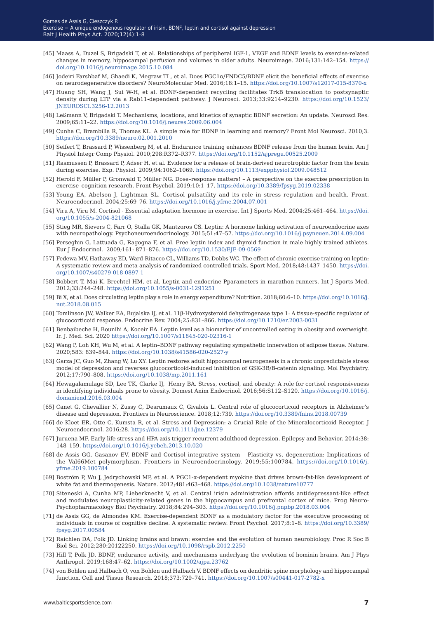- [45] Maass A, Duzel S, Brigadski T, et al. Relationships of peripheral IGF-1, VEGF and BDNF levels to exercise-related changes in memory, hippocampal perfusion and volumes in older adults. Neuroimage. 2016;131:142–154. [https://](https://doi.org/10.1016/j.neuroimage.2015.10.084 ) [doi.org/10.1016/j.neuroimage.2015.10.084](https://doi.org/10.1016/j.neuroimage.2015.10.084 )
- [46] Jodeiri Farshbaf M, Ghaedi K, Megraw TL, et al. Does PGC1α/FNDC5/BDNF elicit the beneficial effects of exercise on neurodegenerative disorders? NeuroMolecular Med. 2016;18:1–15. <https://doi.org/10.1007/s12017-015-8370-x>
- [47] Huang SH, Wang J, Sui W-H, et al. BDNF-dependent recycling facilitates TrkB translocation to postsynaptic density during LTP via a Rab11-dependent pathway. J Neurosci. 2013;33:9214–9230. [https://doi.org/10.1523/](https://doi.org/10.1523/JNEUROSCI.3256-12.2013) [JNEUROSCI.3256-12.2013](https://doi.org/10.1523/JNEUROSCI.3256-12.2013)
- [48] Leßmann V, Brigadski T. Mechanisms, locations, and kinetics of synaptic BDNF secretion: An update. Neurosci Res. 2009;65:11–22. [https://doi.org/10.1016/j.neures.2009.06.004](https://doi.org/10.1016/j.neures.2009.06.004 )
- [49] Cunha C, Brambilla R, Thomas KL. A simple role for BDNF in learning and memory? Front Mol Neurosci. 2010;3. [https://doi.org/10.3389/neuro.02.001.2010](https://doi.org/10.3389/neuro.02.001.2010 )
- [50] Seifert T, Brassard P, Wissenberg M, et al. Endurance training enhances BDNF release from the human brain. Am J Physiol Integr Comp Physiol. 2010;298:R372–R377. <https://doi.org/10.1152/ajpregu.00525.2009>
- [51] Rasmussen P, Brassard P, Adser H, et al. Evidence for a release of brain-derived neurotrophic factor from the brain during exercise. Exp. Physiol. 2009;94:1062–1069.<https://doi.org/10.1113/expphysiol.2009.048512>
- [52] Herold F, Müller P, Gronwald T, Müller NG. Dose–response matters! A perspective on the exercise prescription in exercise–cognition research. Front Psychol. 2019;10:1–17. <https://doi.org/10.3389/fpsyg.2019.02338>
- [53] Young EA, Abelson J, Lightman SL. Cortisol pulsatility and its role in stress regulation and health. Front. Neuroendocrinol. 2004;25:69–76.<https://doi.org/10.1016/j.yfrne.2004.07.001>
- [54] Viru A, Viru M. Cortisol Essential adaptation hormone in exercise. Int J Sports Med. 2004;25:461–464. [https://doi.](https://doi.org/10.1055/s-2004-821068 ) [org/10.1055/s-2004-821068](https://doi.org/10.1055/s-2004-821068 )
- [55] Stieg MR, Sievers C, Farr O, Stalla GK, Mantzoros CS. Leptin: A hormone linking activation of neuroendocrine axes with neuropathology. Psychoneuroendocrinology. 2015;51:47–57.<https://doi.org/10.1016/j.psyneuen.2014.09.004>
- [56] Perseghin G, Lattuada G, Ragogna F, et al. Free leptin index and thyroid function in male highly trained athletes. Eur J Endocrinol. 2009;161: 871–876. <https://doi.org/10.1530/EJE-09-0569>
- [57] Fedewa MV, Hathaway ED, Ward-Ritacco CL, Williams TD, Dobbs WC. The effect of chronic exercise training on leptin: A systematic review and meta-analysis of randomized controlled trials. Sport Med. 2018;48:1437–1450. [https://doi.](https://doi.org/10.1007/s40279-018-0897-1 ) [org/10.1007/s40279-018-0897-1](https://doi.org/10.1007/s40279-018-0897-1 )
- [58] Bobbert T, Mai K, Brechtel HM, et al. Leptin and endocrine Pparameters in marathon runners. Int J Sports Med. 2012;33:244–248. [https://doi.org/10.1055/s-0031-1291251](https://doi.org/10.1055/s-0031-1291251 )
- [59] Bi X, et al. Does circulating leptin play a role in energy expenditure? Nutrition. 2018;60:6–10. [https://doi.org/10.1016/j.](https://doi.org/10.1016/j.nut.2018.08.015 ) [nut.2018.08.015](https://doi.org/10.1016/j.nut.2018.08.015 )
- [60] Tomlinson JW, Walker EA, Bujalska IJ, et al. 11β-Hydroxysteroid dehydrogenase type 1: A tissue-specific regulator of glucocorticoid response. Endocrine Rev. 2004;25:831–866. <https://doi.org/10.1210/er.2003-0031>
- [61] Benbaibeche H, Bounihi A, Koceir EA. Leptin level as a biomarker of uncontrolled eating in obesity and overweight. Ir. J. Med. Sci. 2020 <https://doi.org/10.1007/s11845-020-02316-1>
- [62] Wang P, Loh KH, Wu M, et al. A leptin–BDNF pathway regulating sympathetic innervation of adipose tissue. Nature. 2020;583: 839–844.<https://doi.org/10.1038/s41586-020-2527-y>
- [63] Garza JC, Guo M, Zhang W, Lu XY. Leptin restores adult hippocampal neurogenesis in a chronic unpredictable stress model of depression and reverses glucocorticoid-induced inhibition of GSK-3Β/Β-catenin signaling. Mol Psychiatry. 2012;17:790–808. <https://doi.org/10.1038/mp.2011.161>
- [64] Hewagalamulage SD, Lee TK, Clarke IJ, Henry BA. Stress, cortisol, and obesity: A role for cortisol responsiveness in identifying individuals prone to obesity. Domest Anim Endocrinol. 2016;56:S112–S120. [https://doi.org/10.1016/j.](https://doi.org/10.1016/j.domaniend.2016.03.004 ) [domaniend.2016.03.004](https://doi.org/10.1016/j.domaniend.2016.03.004 )
- [65] Canet G, Chevallier N, Zussy C, Desrumaux C, Givalois L. Central role of glucocorticoid receptors in Alzheimer's disease and depression. Frontiers in Neuroscience. 2018;12:739. <https://doi.org/10.3389/fnins.2018.00739>
- [66] de Kloet ER, Otte C, Kumsta R, et al. Stress and Depression: a Crucial Role of the Mineralocorticoid Receptor. J Neuroendocrinol. 2016;28. [https://doi.org/10.1111/jne.12379](https://doi.org/10.1111/jne.12379 )
- [67] Juruena MF. Early-life stress and HPA axis trigger recurrent adulthood depression. Epilepsy and Behavior. 2014;38: 148–159.<https://doi.org/10.1016/j.yebeh.2013.10.020>
- [68] de Assis GG, Gasanov EV. BDNF and Cortisol integrative system Plasticity vs. degeneration: Implications of the Val66Met polymorphism. Frontiers in Neuroendocrinology. 2019;55:100784. [https://doi.org/10.1016/j.](https://doi.org/10.1016/j.yfrne.2019.100784 ) [yfrne.2019.100784](https://doi.org/10.1016/j.yfrne.2019.100784 )
- [69] Boström P, Wu J, Jedrychowski MP, et al. A PGC1-α-dependent myokine that drives brown-fat-like development of white fat and thermogenesis. Nature. 2012;481:463–468. <https://doi.org/10.1038/nature10777>
- [70] Siteneski A, Cunha MP, Lieberknecht V, et al. Central irisin administration affords antidepressant-like effect and modulates neuroplasticity-related genes in the hippocampus and prefrontal cortex of mice. Prog Neuro-Psychopharmacology Biol Psychiatry. 2018;84:294–303. <https://doi.org/10.1016/j.pnpbp.2018.03.004>
- [71] de Assis GG, de Almondes KM. Exercise-dependent BDNF as a modulatory factor for the executive processing of individuals in course of cognitive decline. A systematic review. Front Psychol. 2017;8:1–8. [https://doi.org/10.3389/](https://doi.org/10.3389/fpsyg.2017.00584) [fpsyg.2017.00584](https://doi.org/10.3389/fpsyg.2017.00584)
- [72] Raichlen DA, Polk JD. Linking brains and brawn: exercise and the evolution of human neurobiology. Proc R Soc B Biol Sci. 2012;280:20122250. <https://doi.org/10.1098/rspb.2012.2250>
- [73] Hill T, Polk JD. BDNF, endurance activity, and mechanisms underlying the evolution of hominin brains. Am J Phys Anthropol. 2019;168:47–62.<https://doi.org/10.1002/ajpa.23762>
- [74] von Bohlen und Halbach O, von Bohlen und Halbach V. BDNF effects on dendritic spine morphology and hippocampal function. Cell and Tissue Research. 2018;373:729–741. <https://doi.org/10.1007/s00441-017-2782-x>